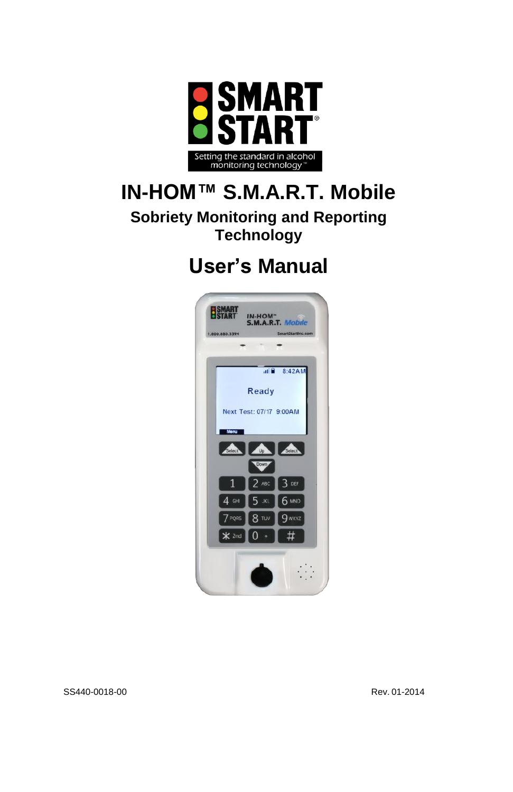

# **IN-HOM™ S.M.A.R.T. Mobile**

**Sobriety Monitoring and Reporting Technology**

# **User's Manual**

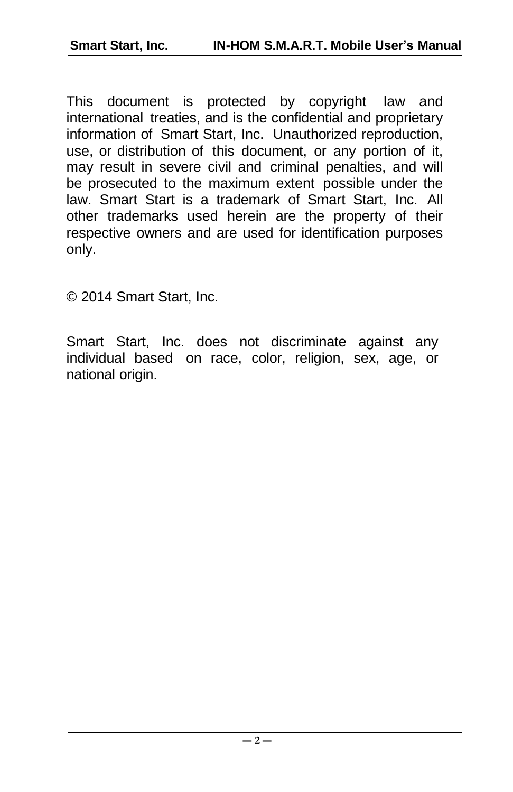This document is protected by copyright law and international treaties, and is the confidential and proprietary information of Smart Start, Inc. Unauthorized reproduction, use, or distribution of this document, or any portion of it, may result in severe civil and criminal penalties, and will be prosecuted to the maximum extent possible under the law. Smart Start is a trademark of Smart Start, Inc. All other trademarks used herein are the property of their respective owners and are used for identification purposes only.

© 2014 Smart Start, Inc.

Smart Start, Inc. does not discriminate against any individual based on race, color, religion, sex, age, or national origin.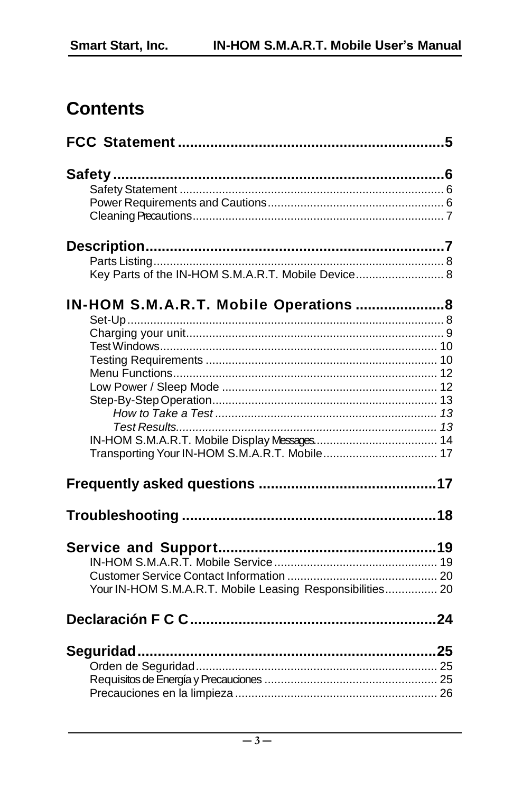# **Contents**

| Key Parts of the IN-HOM S.M.A.R.T. Mobile Device 8        |
|-----------------------------------------------------------|
| IN-HOM S.M.A.R.T. Mobile Operations  8                    |
|                                                           |
|                                                           |
|                                                           |
|                                                           |
|                                                           |
|                                                           |
|                                                           |
|                                                           |
|                                                           |
|                                                           |
|                                                           |
|                                                           |
|                                                           |
|                                                           |
| Your IN-HOM S.M.A.R.T. Mobile Leasing Responsibilities 20 |
|                                                           |
|                                                           |
|                                                           |
|                                                           |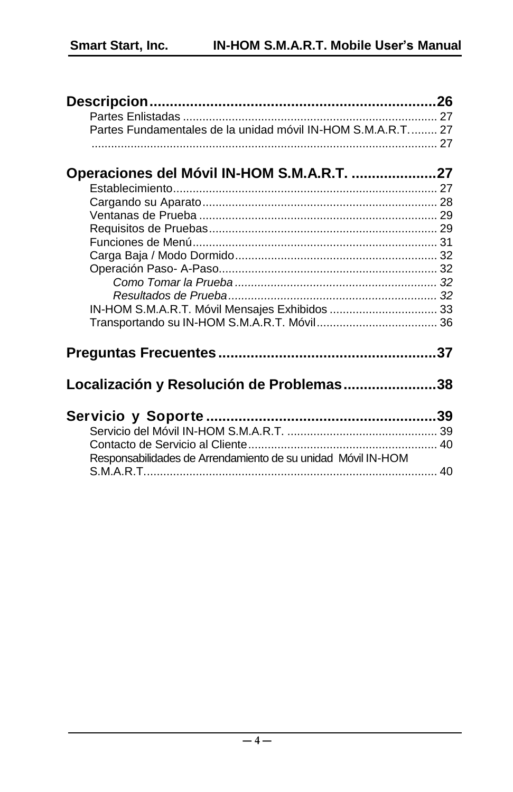| Partes Fundamentales de la unidad móvil IN-HOM S.M.A.R.T 27  |  |
|--------------------------------------------------------------|--|
|                                                              |  |
|                                                              |  |
| Operaciones del Móvil IN-HOM S.M.A.R.T. 27                   |  |
|                                                              |  |
|                                                              |  |
|                                                              |  |
|                                                              |  |
|                                                              |  |
|                                                              |  |
|                                                              |  |
|                                                              |  |
|                                                              |  |
| IN-HOM S.M.A.R.T. Móvil Mensajes Exhibidos  33               |  |
|                                                              |  |
|                                                              |  |
|                                                              |  |
|                                                              |  |
| Localización y Resolución de Problemas38                     |  |
|                                                              |  |
|                                                              |  |
|                                                              |  |
|                                                              |  |
| Responsabilidades de Arrendamiento de su unidad Móvil IN-HOM |  |
|                                                              |  |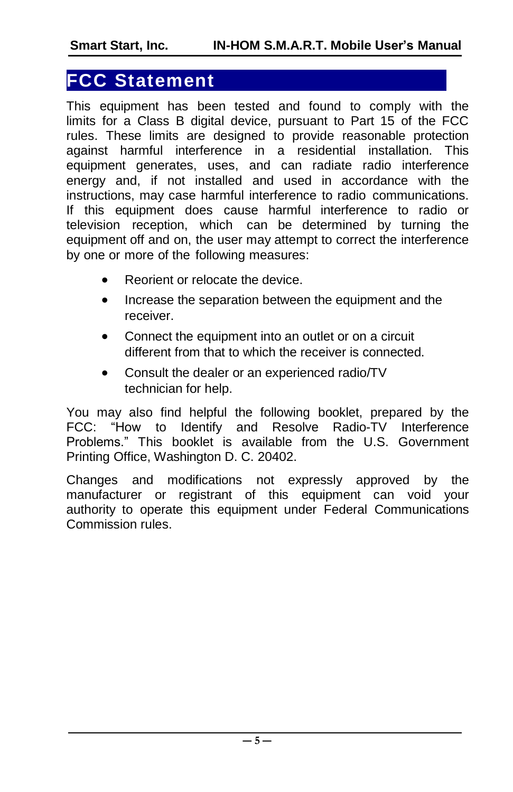### <span id="page-4-0"></span>**FCC Statement**

This equipment has been tested and found to comply with the limits for a Class B digital device, pursuant to Part 15 of the FCC rules. These limits are designed to provide reasonable protection against harmful interference in a residential installation. This equipment generates, uses, and can radiate radio interference energy and, if not installed and used in accordance with the instructions, may case harmful interference to radio communications. If this equipment does cause harmful interference to radio or television reception, which can be determined by turning the equipment off and on, the user may attempt to correct the interference by one or more of the following measures:

- Reorient or relocate the device.
- Increase the separation between the equipment and the receiver.
- Connect the equipment into an outlet or on a circuit different from that to which the receiver is connected.
- Consult the dealer or an experienced radio/TV technician for help.

You may also find helpful the following booklet, prepared by the FCC: "How to Identify and Resolve Radio-TV Interference Problems." This booklet is available from the U.S. Government Printing Office, Washington D. C. 20402.

Changes and modifications not expressly approved by the manufacturer or registrant of this equipment can void your authority to operate this equipment under Federal Communications Commission rules.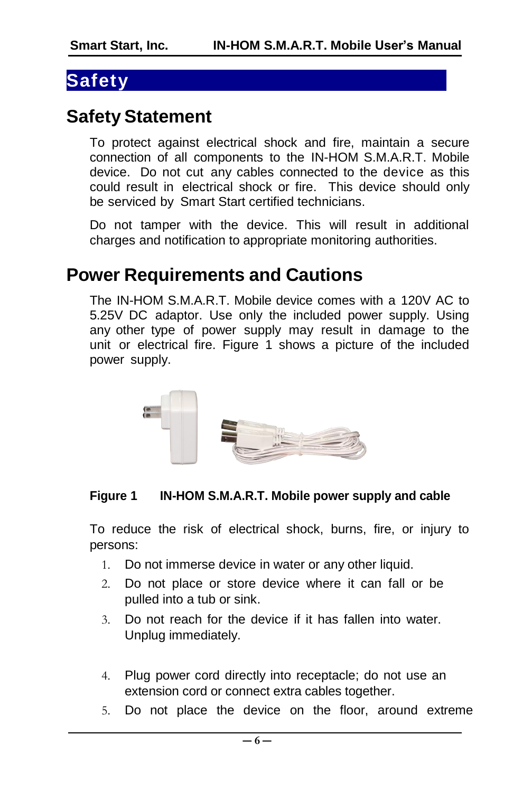### <span id="page-5-0"></span>**Safety**

### <span id="page-5-1"></span>**Safety Statement**

To protect against electrical shock and fire, maintain a secure connection of all components to the IN-HOM S.M.A.R.T. Mobile device. Do not cut any cables connected to the device as this could result in electrical shock or fire. This device should only be serviced by Smart Start certified technicians.

Do not tamper with the device. This will result in additional charges and notification to appropriate monitoring authorities.

# <span id="page-5-2"></span>**Power Requirements and Cautions**

The IN-HOM S.M.A.R.T. Mobile device comes with a 120V AC to 5.25V DC adaptor. Use only the included power supply. Using any other type of power supply may result in damage to the unit or electrical fire. [Figure](#page-5-3) 1 shows a picture of the included power supply.



#### <span id="page-5-3"></span>**Figure 1 IN-HOM S.M.A.R.T. Mobile power supply and cable**

To reduce the risk of electrical shock, burns, fire, or injury to persons:

- 1. Do not immerse device in water or any other liquid.
- 2. Do not place or store device where it can fall or be pulled into a tub or sink.
- 3. Do not reach for the device if it has fallen into water. Unplug immediately.
- 4. Plug power cord directly into receptacle; do not use an extension cord or connect extra cables together.
- 5. Do not place the device on the floor, around extreme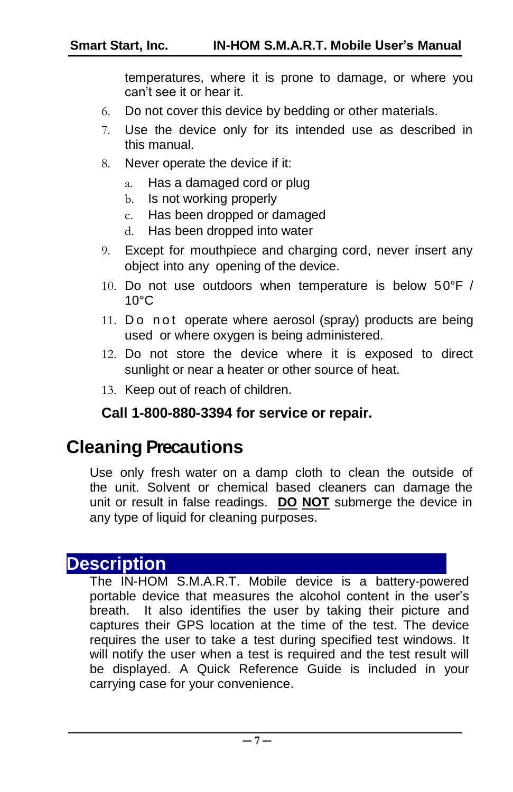temperatures, where it is prone to damage, or where you can't see it or hear it.

- 6. Do not cover this device by bedding or other materials.
- 7. Use the device only for its intended use as described in this manual.
- 8. Never operate the device if it:
	- a. Has a damaged cord or plug
	- b. Is not working properly
	- c. Has been dropped or damaged
	- d. Has been dropped into water
- 9. Except for mouthpiece and charging cord, never insert any object into any opening of the device.
- 10. Do not use outdoors when temperature is below 50°F /  $10^{\circ}$ C
- 11. Do n ot operate where aerosol (spray) products are being used or where oxygen is being administered.
- 12. Do not store the device where it is exposed to direct sunlight or near a heater or other source of heat.
- 13. Keep out of reach of children.

#### **Call 1-800-880-3394 for service or repair.**

### <span id="page-6-0"></span>**Cleaning Precautions**

Use only fresh water on a damp cloth to clean the outside of the unit. Solvent or chemical based cleaners can damage the unit or result in false readings. **DO NOT** submerge the device in any type of liquid for cleaning purposes.

#### <span id="page-6-1"></span>**Description**

The IN-HOM S.M.A.R.T. Mobile device is a battery-powered portable device that measures the alcohol content in the user's breath. It also identifies the user by taking their picture and captures their GPS location at the time of the test. The device requires the user to take a test during specified test windows. It will notify the user when a test is required and the test result will be displayed. A Quick Reference Guide is included in your carrying case for your convenience.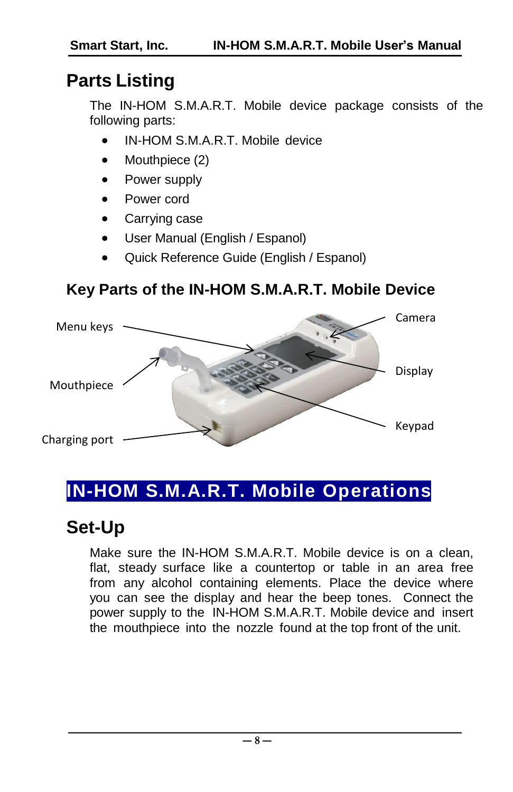# <span id="page-7-0"></span>**Parts Listing**

The IN-HOM S.M.A.R.T. Mobile device package consists of the following parts:

- IN-HOM S.M.A.R.T. Mobile device
- Mouthpiece (2)
- Power supply
- Power cord
- Carrying case
- User Manual (English / Espanol)
- Quick Reference Guide (English / Espanol)

#### <span id="page-7-1"></span>**Key Parts of the IN-HOM S.M.A.R.T. Mobile Device**



# <span id="page-7-2"></span>**IN-HOM S.M.A.R.T. Mobile Operations**

# <span id="page-7-3"></span>**Set-Up**

Make sure the IN-HOM S.M.A.R.T. Mobile device is on a clean, flat, steady surface like a countertop or table in an area free from any alcohol containing elements. Place the device where you can see the display and hear the beep tones. Connect the power supply to the IN-HOM S.M.A.R.T. Mobile device and insert the mouthpiece into the nozzle found at the top front of the unit.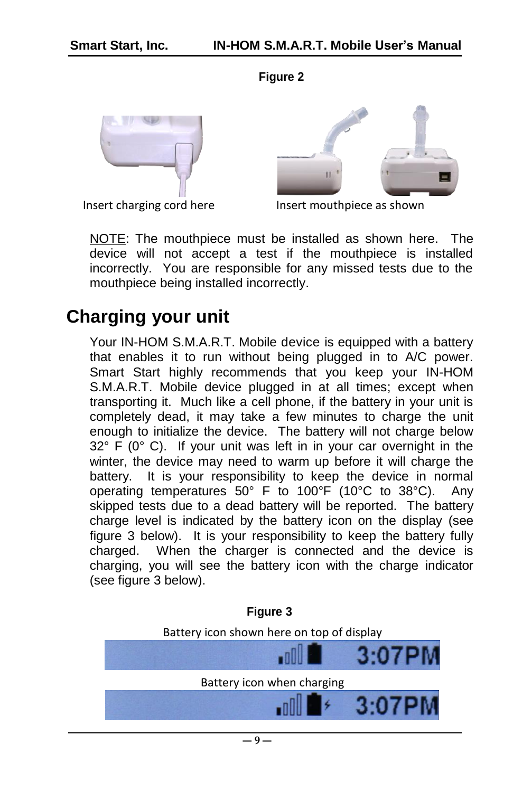**Figure 2**



Insert charging cord here



Insert mouthpiece as shown

NOTE: The mouthpiece must be installed as shown here. The device will not accept a test if the mouthpiece is installed incorrectly. You are responsible for any missed tests due to the mouthpiece being installed incorrectly.

### <span id="page-8-0"></span>**Charging your unit**

Your IN-HOM S.M.A.R.T. Mobile device is equipped with a battery that enables it to run without being plugged in to A/C power. Smart Start highly recommends that you keep your IN-HOM S.M.A.R.T. Mobile device plugged in at all times; except when transporting it. Much like a cell phone, if the battery in your unit is completely dead, it may take a few minutes to charge the unit enough to initialize the device. The battery will not charge below 32° F (0° C). If your unit was left in in your car overnight in the winter, the device may need to warm up before it will charge the battery. It is your responsibility to keep the device in normal operating temperatures 50° F to 100°F (10°C to 38°C). Any skipped tests due to a dead battery will be reported. The battery charge level is indicated by the battery icon on the display (see figure 3 below). It is your responsibility to keep the battery fully charged. When the charger is connected and the device is charging, you will see the battery icon with the charge indicator (see figure 3 below).

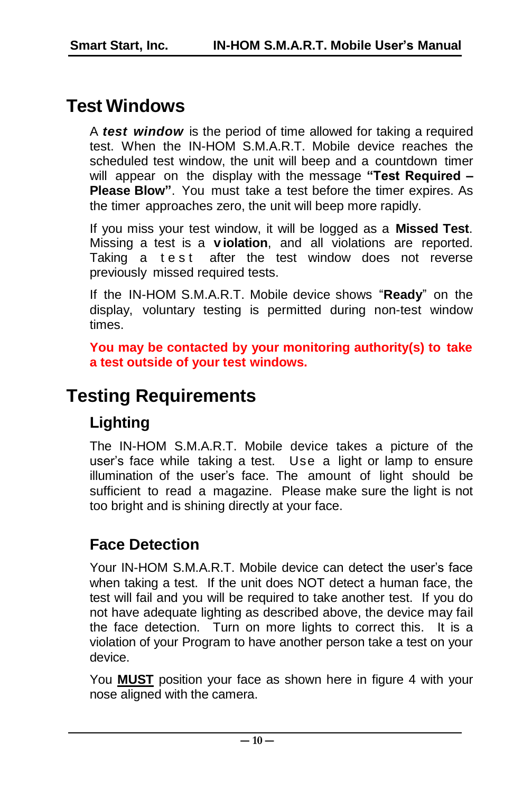# <span id="page-9-0"></span>**Test Windows**

A *test window* is the period of time allowed for taking a required test. When the IN-HOM S.M.A.R.T. Mobile device reaches the scheduled test window, the unit will beep and a countdown timer will appear on the display with the message **"Test Required – Please Blow"**. You must take a test before the timer expires. As the timer approaches zero, the unit will beep more rapidly.

If you miss your test window, it will be logged as a **Missed Test**. Missing a test is a **v iolation**, and all violations are reported. Taking a test after the test window does not reverse previously missed required tests.

If the IN-HOM S.M.A.R.T. Mobile device shows "**Ready**" on the display, voluntary testing is permitted during non-test window times.

**You may be contacted by your monitoring authority(s) to take a test outside of your test windows.**

# <span id="page-9-1"></span>**Testing Requirements**

#### **Lighting**

The IN-HOM S.M.A.R.T. Mobile device takes a picture of the user's face while taking a test. Use a light or lamp to ensure illumination of the user's face. The amount of light should be sufficient to read a magazine. Please make sure the light is not too bright and is shining directly at your face.

#### **Face Detection**

Your IN-HOM S.M.A.R.T. Mobile device can detect the user's face when taking a test. If the unit does NOT detect a human face, the test will fail and you will be required to take another test. If you do not have adequate lighting as described above, the device may fail the face detection. Turn on more lights to correct this. It is a violation of your Program to have another person take a test on your device.

You **MUST** position your face as shown here in figure 4 with your nose aligned with the camera.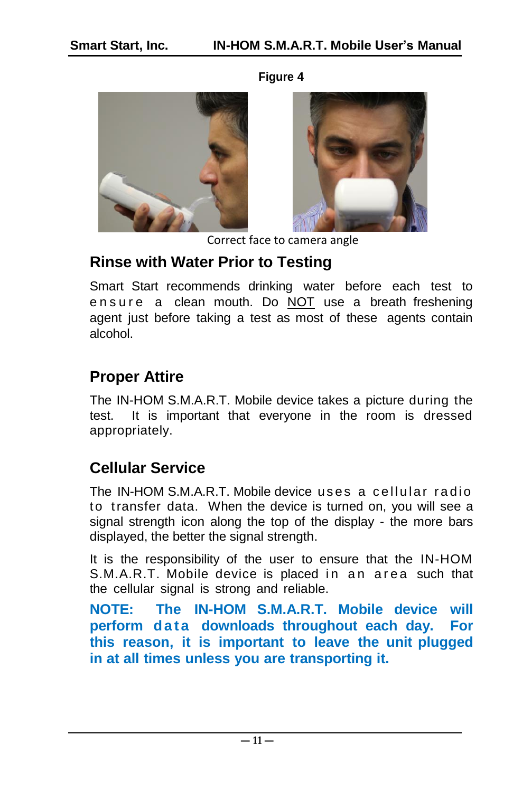#### **Figure 4**





Correct face to camera angle

#### **Rinse with Water Prior to Testing**

Smart Start recommends drinking water before each test to e n s u r e a clean mouth. Do NOT use a breath freshening agent just before taking a test as most of these agents contain alcohol.

#### **Proper Attire**

The IN-HOM S.M.A.R.T. Mobile device takes a picture during the test. It is important that everyone in the room is dressed appropriately.

#### **Cellular Service**

The IN-HOM S.M.A.R.T. Mobile device uses a cellular radio to transfer data. When the device is turned on, you will see a signal strength icon along the top of the display - the more bars displayed, the better the signal strength.

It is the responsibility of the user to ensure that the IN-HOM S.M.A.R.T. Mobile device is placed in an area such that the cellular signal is strong and reliable.

**NOTE: The IN-HOM S.M.A.R.T. Mobile device will perform** data downloads throughout each day. For **this reason, it is important to leave the unit plugged in at all times unless you are transporting it.**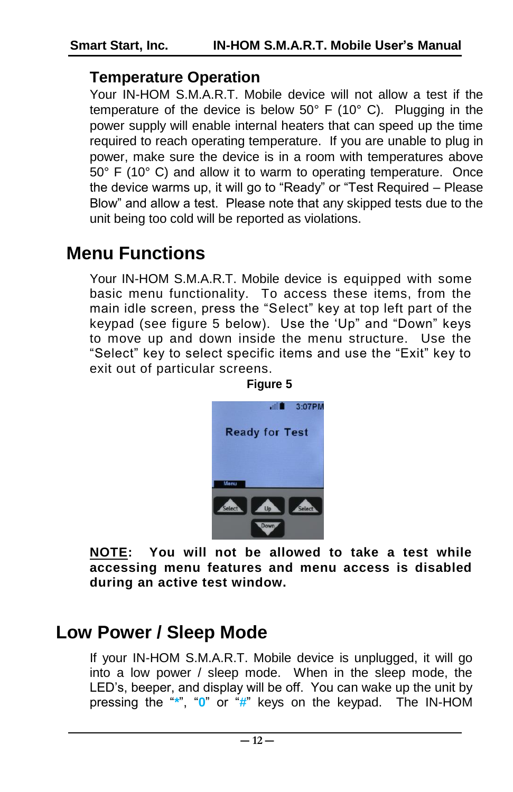#### **Temperature Operation**

Your IN-HOM S.M.A.R.T. Mobile device will not allow a test if the temperature of the device is below 50° F (10° C). Plugging in the power supply will enable internal heaters that can speed up the time required to reach operating temperature. If you are unable to plug in power, make sure the device is in a room with temperatures above 50° F (10° C) and allow it to warm to operating temperature. Once the device warms up, it will go to "Ready" or "Test Required – Please Blow" and allow a test. Please note that any skipped tests due to the unit being too cold will be reported as violations.

# <span id="page-11-0"></span>**Menu Functions**

Your IN-HOM S.M.A.R.T. Mobile device is equipped with some basic menu functionality. To access these items, from the main idle screen, press the "Select" key at top left part of the keypad (see figure 5 below). Use the 'Up" and "Down" keys to move up and down inside the menu structure. Use the "Select" key to select specific items and use the "Exit" key to exit out of particular screens.



**NOTE: You will not be allowed to take a test while accessing menu features and menu access is disabled during an active test window.**

### <span id="page-11-1"></span>**Low Power / Sleep Mode**

If your IN-HOM S.M.A.R.T. Mobile device is unplugged, it will go into a low power / sleep mode. When in the sleep mode, the LED's, beeper, and display will be off. You can wake up the unit by pressing the "**\***", "**0**" or "**#**" keys on the keypad. The IN-HOM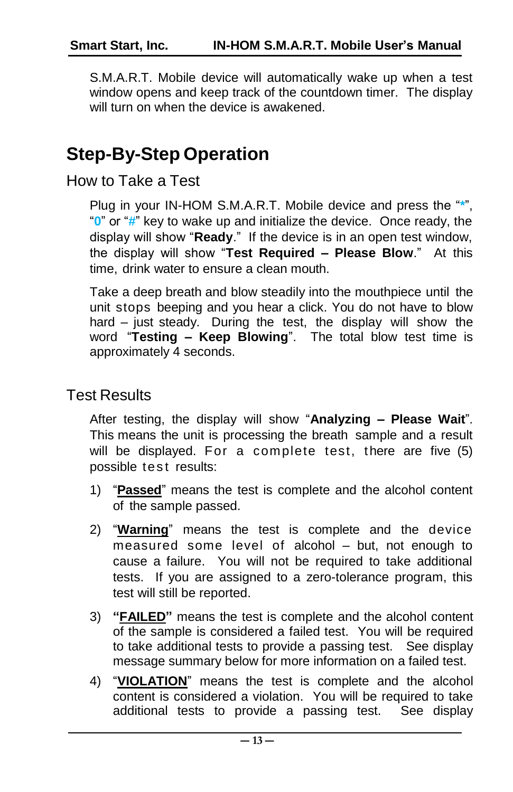S.M.A.R.T. Mobile device will automatically wake up when a test window opens and keep track of the countdown timer. The display will turn on when the device is awakened.

# <span id="page-12-0"></span>**Step-By-Step Operation**

<span id="page-12-1"></span>How to Take a Test

Plug in your IN-HOM S.M.A.R.T. Mobile device and press the "**\***", "**0**" or "**#**" key to wake up and initialize the device. Once ready, the display will show "**Ready**." If the device is in an open test window, the display will show "**Test Required – Please Blow**." At this time, drink water to ensure a clean mouth.

Take a deep breath and blow steadily into the mouthpiece until the unit stops beeping and you hear a click. You do not have to blow hard – just steady. During the test, the display will show the word "**Testing – Keep Blowing**". The total blow test time is approximately 4 seconds.

#### <span id="page-12-2"></span>Test Results

After testing, the display will show "**Analyzing – Please Wait**". This means the unit is processing the breath sample and a result will be displayed. For a complete test, there are five (5) possible test results:

- 1) "**Passed**" means the test is complete and the alcohol content of the sample passed.
- 2) "**Warning**" means the test is complete and the device measured some level of alcohol – but, not enough to cause a failure. You will not be required to take additional tests. If you are assigned to a zero-tolerance program, this test will still be reported.
- 3) **"FAILED"** means the test is complete and the alcohol content of the sample is considered a failed test. You will be required to take additional tests to provide a passing test. See display message summary below for more information on a failed test.
- 4) "**VIOLATION**" means the test is complete and the alcohol content is considered a violation. You will be required to take additional tests to provide a passing test. See display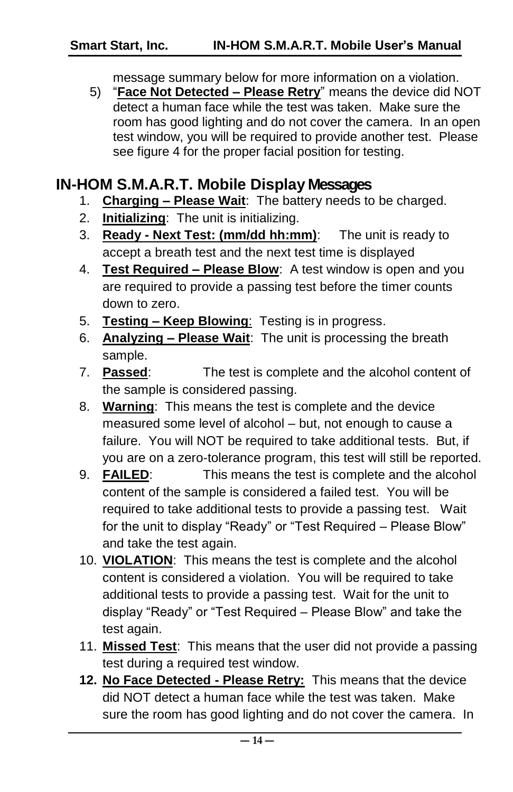message summary below for more information on a violation.

5) "**Face Not Detected – Please Retry**" means the device did NOT detect a human face while the test was taken. Make sure the room has good lighting and do not cover the camera. In an open test window, you will be required to provide another test. Please see figure 4 for the proper facial position for testing.

#### <span id="page-13-0"></span>**IN-HOM S.M.A.R.T. Mobile Display Messages**

- 1. **Charging – Please Wait**: The battery needs to be charged.
- 2. **Initializing**: The unit is initializing.
- 3. **Ready - Next Test: (mm/dd hh:mm)**: The unit is ready to accept a breath test and the next test time is displayed
- 4. **Test Required – Please Blow**: A test window is open and you are required to provide a passing test before the timer counts down to zero.
- 5. **Testing – Keep Blowing**: Testing is in progress.
- 6. **Analyzing – Please Wait**: The unit is processing the breath sample.
- 7. **Passed**: The test is complete and the alcohol content of the sample is considered passing.
- 8. **Warning**: This means the test is complete and the device measured some level of alcohol – but, not enough to cause a failure. You will NOT be required to take additional tests. But, if you are on a zero-tolerance program, this test will still be reported.
- 9. **FAILED**: This means the test is complete and the alcohol content of the sample is considered a failed test. You will be required to take additional tests to provide a passing test. Wait for the unit to display "Ready" or "Test Required – Please Blow" and take the test again.
- 10. **VIOLATION**: This means the test is complete and the alcohol content is considered a violation. You will be required to take additional tests to provide a passing test. Wait for the unit to display "Ready" or "Test Required – Please Blow" and take the test again.
- 11. **Missed Test**: This means that the user did not provide a passing test during a required test window.
- **12. No Face Detected - Please Retry:** This means that the device did NOT detect a human face while the test was taken. Make sure the room has good lighting and do not cover the camera. In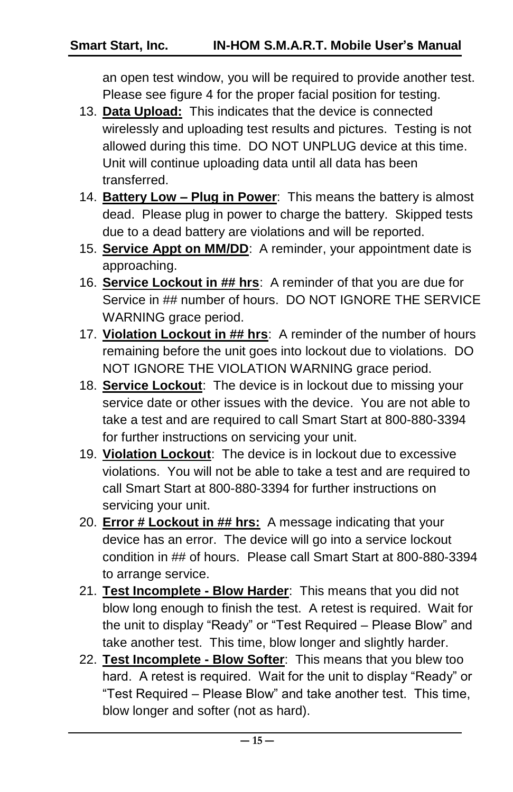an open test window, you will be required to provide another test. Please see figure 4 for the proper facial position for testing.

- 13. **Data Upload:** This indicates that the device is connected wirelessly and uploading test results and pictures. Testing is not allowed during this time. DO NOT UNPLUG device at this time. Unit will continue uploading data until all data has been transferred.
- 14. **Battery Low – Plug in Power**: This means the battery is almost dead. Please plug in power to charge the battery. Skipped tests due to a dead battery are violations and will be reported.
- 15. **Service Appt on MM/DD**: A reminder, your appointment date is approaching.
- 16. **Service Lockout in ## hrs**: A reminder of that you are due for Service in ## number of hours. DO NOT IGNORE THE SERVICE WARNING grace period.
- 17. **Violation Lockout in ## hrs**: A reminder of the number of hours remaining before the unit goes into lockout due to violations. DO NOT IGNORE THE VIOLATION WARNING grace period.
- 18. **Service Lockout**: The device is in lockout due to missing your service date or other issues with the device. You are not able to take a test and are required to call Smart Start at 800-880-3394 for further instructions on servicing your unit.
- 19. **Violation Lockout**: The device is in lockout due to excessive violations. You will not be able to take a test and are required to call Smart Start at 800-880-3394 for further instructions on servicing your unit.
- 20. **Error # Lockout in ## hrs:** A message indicating that your device has an error. The device will go into a service lockout condition in ## of hours. Please call Smart Start at 800-880-3394 to arrange service.
- 21. **Test Incomplete - Blow Harder**: This means that you did not blow long enough to finish the test. A retest is required. Wait for the unit to display "Ready" or "Test Required – Please Blow" and take another test. This time, blow longer and slightly harder.
- 22. **Test Incomplete - Blow Softer**: This means that you blew too hard. A retest is required. Wait for the unit to display "Ready" or "Test Required – Please Blow" and take another test. This time, blow longer and softer (not as hard).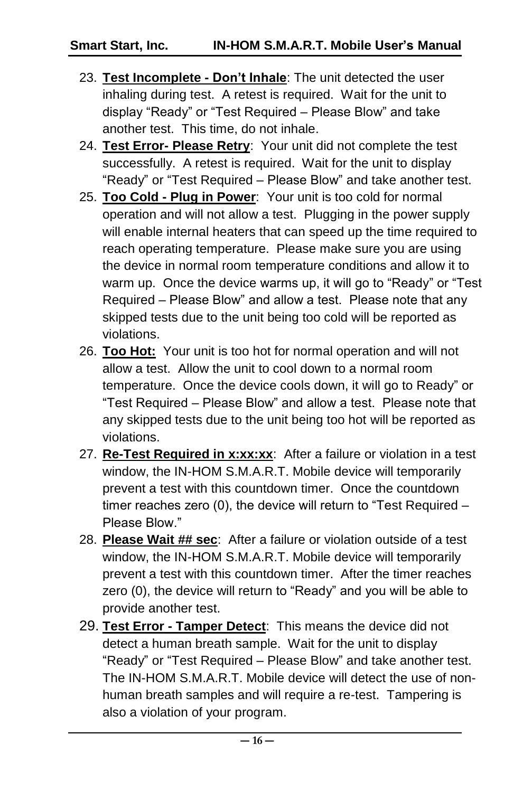- 23. **Test Incomplete - Don't Inhale**: The unit detected the user inhaling during test. A retest is required. Wait for the unit to display "Ready" or "Test Required – Please Blow" and take another test. This time, do not inhale.
- 24. **Test Error- Please Retry**: Your unit did not complete the test successfully. A retest is required. Wait for the unit to display "Ready" or "Test Required – Please Blow" and take another test.
- 25. **Too Cold - Plug in Power**: Your unit is too cold for normal operation and will not allow a test. Plugging in the power supply will enable internal heaters that can speed up the time required to reach operating temperature. Please make sure you are using the device in normal room temperature conditions and allow it to warm up. Once the device warms up, it will go to "Ready" or "Test Required – Please Blow" and allow a test. Please note that any skipped tests due to the unit being too cold will be reported as violations.
- 26. **Too Hot:** Your unit is too hot for normal operation and will not allow a test. Allow the unit to cool down to a normal room temperature. Once the device cools down, it will go to Ready" or "Test Required – Please Blow" and allow a test. Please note that any skipped tests due to the unit being too hot will be reported as violations.
- 27. **Re-Test Required in x:xx:xx**: After a failure or violation in a test window, the IN-HOM S.M.A.R.T. Mobile device will temporarily prevent a test with this countdown timer. Once the countdown timer reaches zero (0), the device will return to "Test Required – Please Blow."
- 28. **Please Wait ## sec**: After a failure or violation outside of a test window, the IN-HOM S.M.A.R.T. Mobile device will temporarily prevent a test with this countdown timer. After the timer reaches zero (0), the device will return to "Ready" and you will be able to provide another test.
- 29. **Test Error - Tamper Detect**: This means the device did not detect a human breath sample. Wait for the unit to display "Ready" or "Test Required – Please Blow" and take another test. The IN-HOM S.M.A.R.T. Mobile device will detect the use of nonhuman breath samples and will require a re-test. Tampering is also a violation of your program.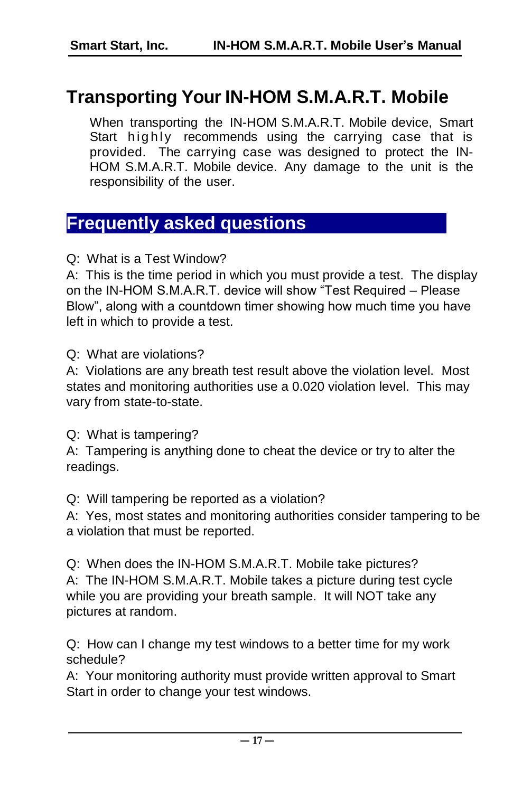# <span id="page-16-0"></span>**Transporting Your IN-HOM S.M.A.R.T. Mobile**

When transporting the IN-HOM S.M.A.R.T. Mobile device, Smart Start highly recommends using the carrying case that is provided. The carrying case was designed to protect the IN-HOM S.M.A.R.T. Mobile device. Any damage to the unit is the responsibility of the user.

### <span id="page-16-1"></span>**Frequently asked questions**

Q: What is a Test Window?

A: This is the time period in which you must provide a test. The display on the IN-HOM S.M.A.R.T. device will show "Test Required – Please Blow", along with a countdown timer showing how much time you have left in which to provide a test.

Q: What are violations?

A: Violations are any breath test result above the violation level. Most states and monitoring authorities use a 0.020 violation level. This may vary from state-to-state.

Q: What is tampering?

A: Tampering is anything done to cheat the device or try to alter the readings.

Q: Will tampering be reported as a violation?

A: Yes, most states and monitoring authorities consider tampering to be a violation that must be reported.

Q: When does the IN-HOM S.M.A.R.T. Mobile take pictures? A: The IN-HOM S.M.A.R.T. Mobile takes a picture during test cycle while you are providing your breath sample. It will NOT take any pictures at random.

Q: How can I change my test windows to a better time for my work schedule?

A: Your monitoring authority must provide written approval to Smart Start in order to change your test windows.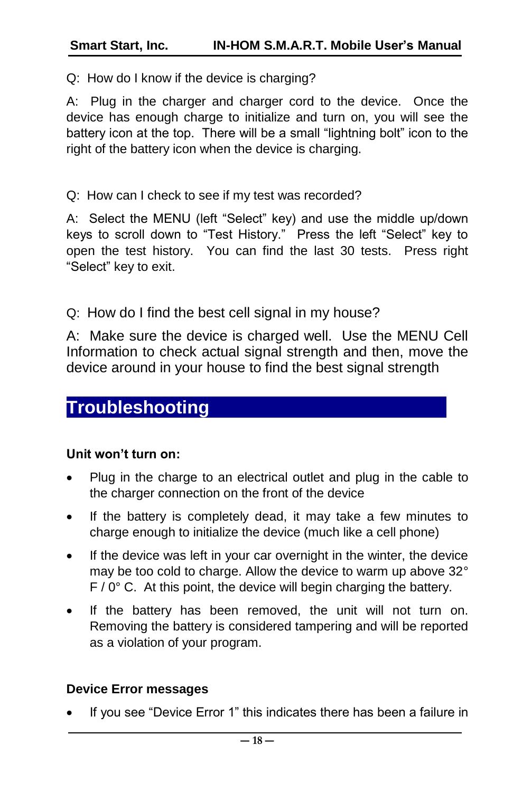Q: How do I know if the device is charging?

A: Plug in the charger and charger cord to the device. Once the device has enough charge to initialize and turn on, you will see the battery icon at the top. There will be a small "lightning bolt" icon to the right of the battery icon when the device is charging.

Q: How can I check to see if my test was recorded?

A: Select the MENU (left "Select" key) and use the middle up/down keys to scroll down to "Test History." Press the left "Select" key to open the test history. You can find the last 30 tests. Press right "Select" key to exit.

Q: How do I find the best cell signal in my house?

A: Make sure the device is charged well. Use the MENU Cell Information to check actual signal strength and then, move the device around in your house to find the best signal strength

### <span id="page-17-0"></span>**Troubleshooting**

#### **Unit won't turn on:**

- Plug in the charge to an electrical outlet and plug in the cable to the charger connection on the front of the device
- If the battery is completely dead, it may take a few minutes to charge enough to initialize the device (much like a cell phone)
- If the device was left in your car overnight in the winter, the device may be too cold to charge. Allow the device to warm up above 32°  $F / 0$ ° C. At this point, the device will begin charging the battery.
- If the battery has been removed, the unit will not turn on. Removing the battery is considered tampering and will be reported as a violation of your program.

#### **Device Error messages**

If you see "Device Error 1" this indicates there has been a failure in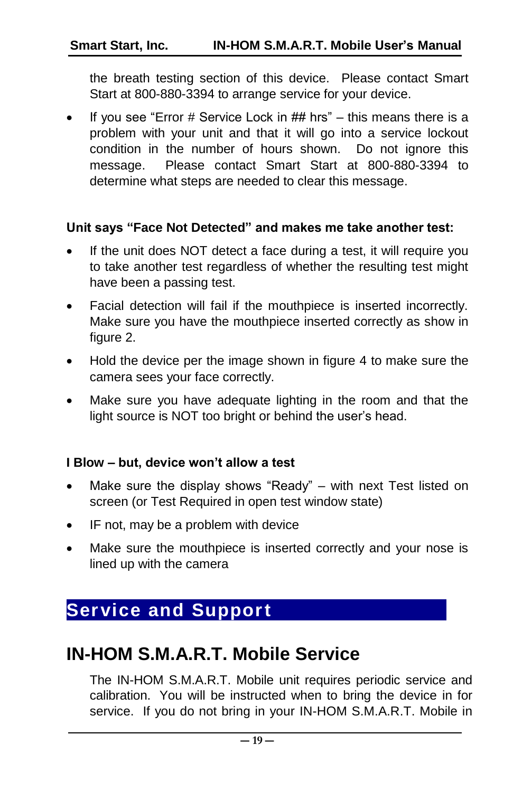the breath testing section of this device. Please contact Smart Start at 800-880-3394 to arrange service for your device.

If you see "Error  $#$  Service Lock in  $##$  hrs" – this means there is a problem with your unit and that it will go into a service lockout condition in the number of hours shown. Do not ignore this message. Please contact Smart Start at 800-880-3394 to determine what steps are needed to clear this message.

#### **Unit says "Face Not Detected" and makes me take another test:**

- If the unit does NOT detect a face during a test, it will require you to take another test regardless of whether the resulting test might have been a passing test.
- Facial detection will fail if the mouthpiece is inserted incorrectly. Make sure you have the mouthpiece inserted correctly as show in figure 2.
- Hold the device per the image shown in figure 4 to make sure the camera sees your face correctly.
- Make sure you have adequate lighting in the room and that the light source is NOT too bright or behind the user's head.

#### **I Blow – but, device won't allow a test**

- Make sure the display shows "Ready" with next Test listed on screen (or Test Required in open test window state)
- IF not, may be a problem with device
- Make sure the mouthpiece is inserted correctly and your nose is lined up with the camera

## <span id="page-18-0"></span>**Service and Support**

### <span id="page-18-1"></span>**IN-HOM S.M.A.R.T. Mobile Service**

The IN-HOM S.M.A.R.T. Mobile unit requires periodic service and calibration. You will be instructed when to bring the device in for service. If you do not bring in your IN-HOM S.M.A.R.T. Mobile in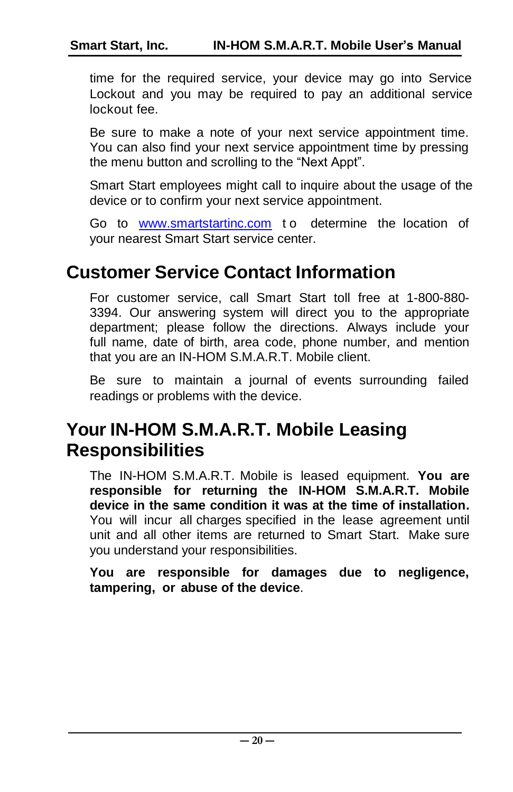time for the required service, your device may go into Service Lockout and you may be required to pay an additional service lockout fee.

Be sure to make a note of your next service appointment time. You can also find your next service appointment time by pressing the menu button and scrolling to the "Next Appt".

Smart Start employees might call to inquire about the usage of the device or to confirm your next service appointment.

Go to [www.smartstartinc.com](http://www.smartstartinc.com/) to determine the location of your nearest Smart Start service center.

### <span id="page-19-0"></span>**Customer Service Contact Information**

For customer service, call Smart Start toll free at 1-800-880- 3394. Our answering system will direct you to the appropriate department; please follow the directions. Always include your full name, date of birth, area code, phone number, and mention that you are an IN-HOM S.M.A.R.T. Mobile client.

Be sure to maintain a journal of events surrounding failed readings or problems with the device.

### <span id="page-19-1"></span>**Your IN-HOM S.M.A.R.T. Mobile Leasing Responsibilities**

The IN-HOM S.M.A.R.T. Mobile is leased equipment. **You are responsible for returning the IN-HOM S.M.A.R.T. Mobile device in the same condition it was at the time of installation.** You will incur all charges specified in the lease agreement until unit and all other items are returned to Smart Start. Make sure you understand your responsibilities.

**You are responsible for damages due to negligence, tampering, or abuse of the device**.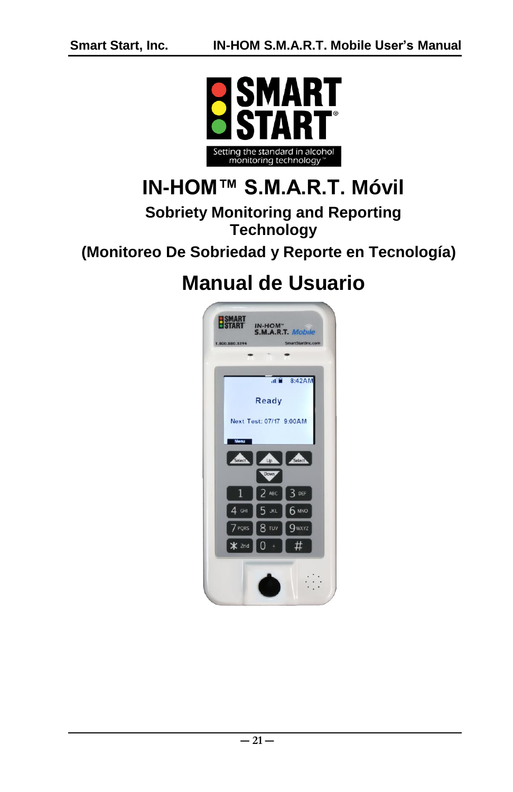

# **IN-HOM™ S.M.A.R.T. Móvil**

#### **Sobriety Monitoring and Reporting Technology**

#### **(Monitoreo De Sobriedad y Reporte en Tecnología)**

# **Manual de Usuario**

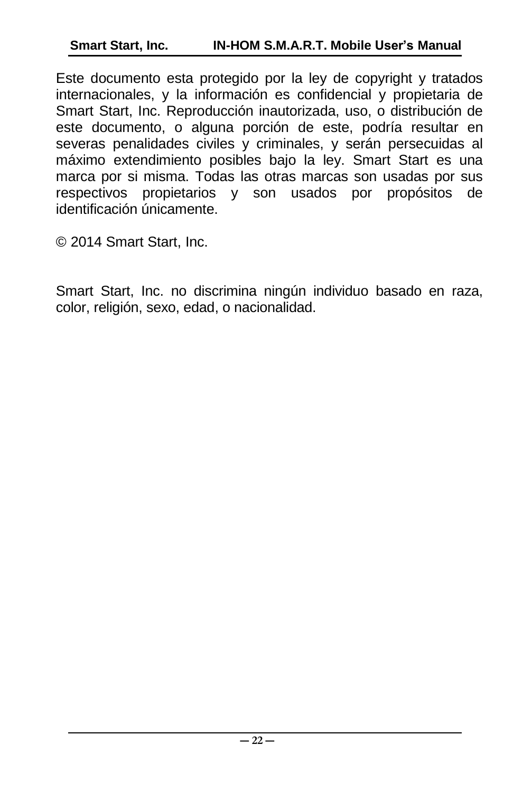Este documento esta protegido por la ley de copyright y tratados internacionales, y la información es confidencial y propietaria de Smart Start, Inc. Reproducción inautorizada, uso, o distribución de este documento, o alguna porción de este, podría resultar en severas penalidades civiles y criminales, y serán persecuidas al máximo extendimiento posibles bajo la ley. Smart Start es una marca por si misma. Todas las otras marcas son usadas por sus respectivos propietarios y son usados por propósitos de identificación únicamente.

© 2014 Smart Start, Inc.

Smart Start, Inc. no discrimina ningún individuo basado en raza, color, religión, sexo, edad, o nacionalidad.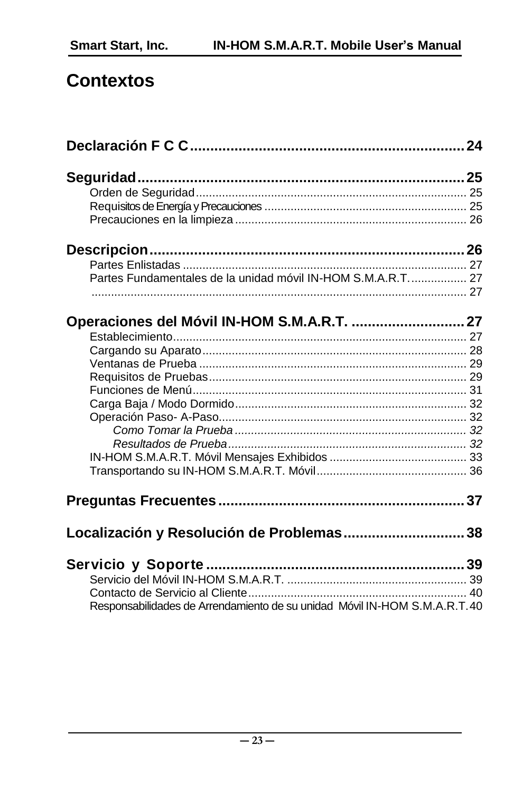# **Contextos**

| Partes Fundamentales de la unidad móvil IN-HOM S.M.A.R.T 27               |  |
|---------------------------------------------------------------------------|--|
|                                                                           |  |
|                                                                           |  |
|                                                                           |  |
|                                                                           |  |
|                                                                           |  |
|                                                                           |  |
|                                                                           |  |
|                                                                           |  |
|                                                                           |  |
|                                                                           |  |
|                                                                           |  |
|                                                                           |  |
|                                                                           |  |
|                                                                           |  |
|                                                                           |  |
|                                                                           |  |
| Localización y Resolución de Problemas 38                                 |  |
|                                                                           |  |
|                                                                           |  |
|                                                                           |  |
| Responsabilidades de Arrendamiento de su unidad Móvil IN-HOM S.M.A.R.T.40 |  |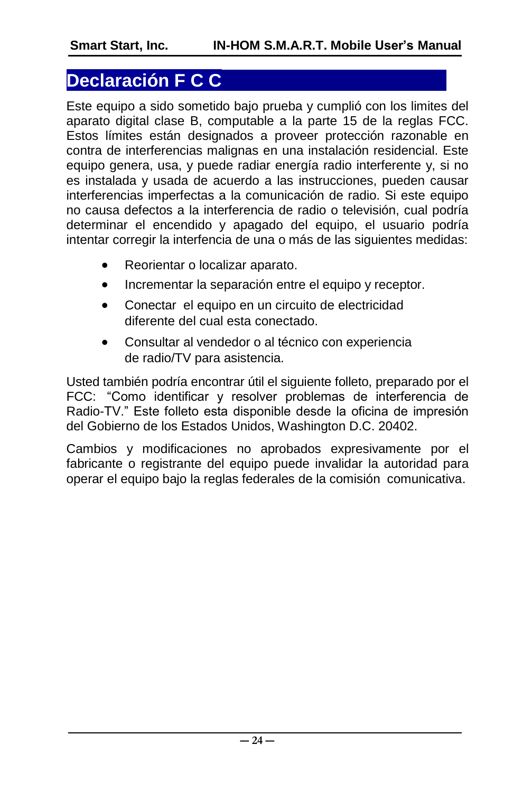### <span id="page-23-0"></span>**Declaración F C C**

Este equipo a sido sometido bajo prueba y cumplió con los limites del aparato digital clase B, computable a la parte 15 de la reglas FCC. Estos límites están designados a proveer protección razonable en contra de interferencias malignas en una instalación residencial. Este equipo genera, usa, y puede radiar energía radio interferente y, si no es instalada y usada de acuerdo a las instrucciones, pueden causar interferencias imperfectas a la comunicación de radio. Si este equipo no causa defectos a la interferencia de radio o televisión, cual podría determinar el encendido y apagado del equipo, el usuario podría intentar corregir la interfencia de una o más de las siguientes medidas:

- Reorientar o localizar aparato.
- Incrementar la separación entre el equipo y receptor.
- Conectar el equipo en un circuito de electricidad diferente del cual esta conectado.
- Consultar al vendedor o al técnico con experiencia de radio/TV para asistencia.

Usted también podría encontrar útil el siguiente folleto, preparado por el FCC: "Como identificar y resolver problemas de interferencia de Radio-TV." Este folleto esta disponible desde la oficina de impresión del Gobierno de los Estados Unidos, Washington D.C. 20402.

Cambios y modificaciones no aprobados expresivamente por el fabricante o registrante del equipo puede invalidar la autoridad para operar el equipo bajo la reglas federales de la comisión comunicativa.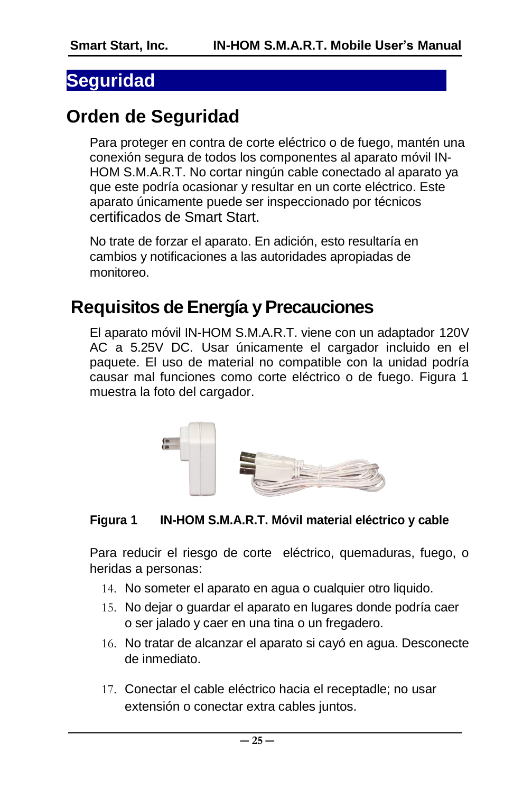#### <span id="page-24-0"></span>**Seguridad**

# <span id="page-24-1"></span>**Orden de Seguridad**

Para proteger en contra de corte eléctrico o de fuego, mantén una conexión segura de todos los componentes al aparato móvil IN-HOM S.M.A.R.T. No cortar ningún cable conectado al aparato ya que este podría ocasionar y resultar en un corte eléctrico. Este aparato únicamente puede ser inspeccionado por técnicos certificados de Smart Start.

No trate de forzar el aparato. En adición, esto resultaría en cambios y notificaciones a las autoridades apropiadas de monitoreo.

# <span id="page-24-2"></span>**Requisitos de Energía y Precauciones**

El aparato móvil IN-HOM S.M.A.R.T. viene con un adaptador 120V AC a 5.25V DC. Usar únicamente el cargador incluido en el paquete. El uso de material no compatible con la unidad podría causar mal funciones como corte eléctrico o de fuego. Figura 1 muestra la foto del cargador.



#### **Figura 1 IN-HOM S.M.A.R.T. Móvil material eléctrico y cable**

Para reducir el riesgo de corte eléctrico, quemaduras, fuego, o heridas a personas:

- 14. No someter el aparato en agua o cualquier otro liquido.
- 15. No dejar o guardar el aparato en lugares donde podría caer o ser jalado y caer en una tina o un fregadero.
- 16. No tratar de alcanzar el aparato si cayó en agua. Desconecte de inmediato.
- 17. Conectar el cable eléctrico hacia el receptadle; no usar extensión o conectar extra cables juntos.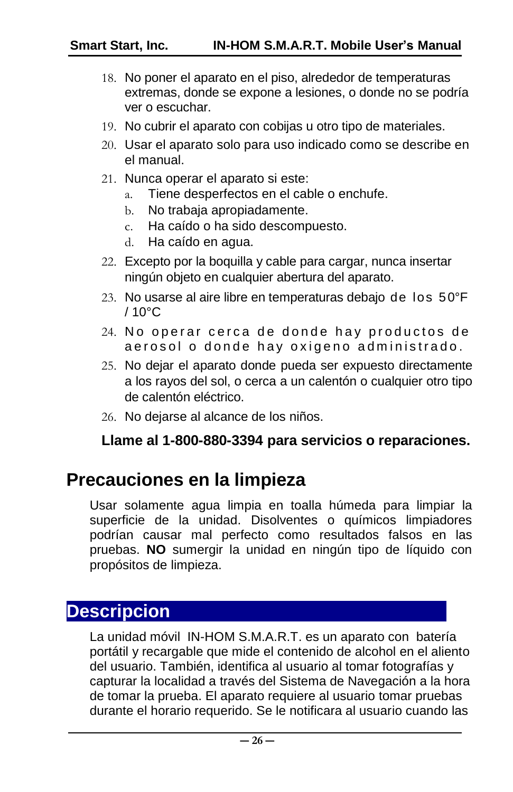- 18. No poner el aparato en el piso, alrededor de temperaturas extremas, donde se expone a lesiones, o donde no se podría ver o escuchar.
- 19. No cubrir el aparato con cobijas u otro tipo de materiales.
- 20. Usar el aparato solo para uso indicado como se describe en el manual.
- 21. Nunca operar el aparato si este:
	- a. Tiene desperfectos en el cable o enchufe.
	- b. No trabaja apropiadamente.
	- c. Ha caído o ha sido descompuesto.
	- d. Ha caído en agua.
- 22. Excepto por la boquilla y cable para cargar, nunca insertar ningún objeto en cualquier abertura del aparato.
- 23. No usarse al aire libre en temperaturas debajo de los 50°F  $/10^{\circ}$ C
- 24. No operar cerca de donde hay productos de aerosol o donde hay oxigeno administrado.
- 25. No dejar el aparato donde pueda ser expuesto directamente a los rayos del sol, o cerca a un calentón o cualquier otro tipo de calentón eléctrico.
- 26. No dejarse al alcance de los niños.

#### **Llame al 1-800-880-3394 para servicios o reparaciones.**

### <span id="page-25-0"></span>**Precauciones en la limpieza**

Usar solamente agua limpia en toalla húmeda para limpiar la superficie de la unidad. Disolventes o químicos limpiadores podrían causar mal perfecto como resultados falsos en las pruebas. **NO** sumergir la unidad en ningún tipo de líquido con propósitos de limpieza.

### <span id="page-25-1"></span>**Descripcion**

La unidad móvil IN-HOM S.M.A.R.T. es un aparato con batería portátil y recargable que mide el contenido de alcohol en el aliento del usuario. También, identifica al usuario al tomar fotografías y capturar la localidad a través del Sistema de Navegación a la hora de tomar la prueba. El aparato requiere al usuario tomar pruebas durante el horario requerido. Se le notificara al usuario cuando las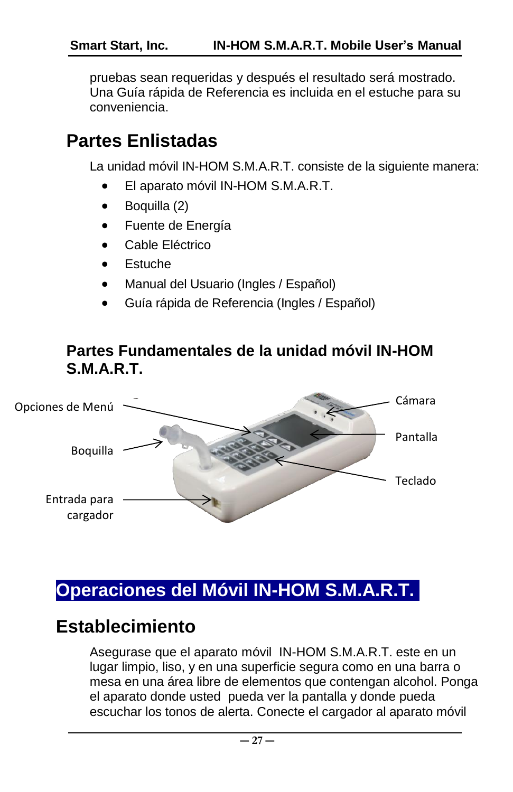<span id="page-26-2"></span>pruebas sean requeridas y después el resultado será mostrado. Una Guía rápida de Referencia es incluida en el estuche para su conveniencia.

# <span id="page-26-0"></span>**Partes Enlistadas**

La unidad móvil IN-HOM S.M.A.R.T. consiste de la siguiente manera:

- El aparato móvil IN-HOM S.M.A.R.T.
- Boquilla (2)
- Fuente de Energía
- Cable Eléctrico
- Estuche
- Manual del Usuario (Ingles / Español)
- Guía rápida de Referencia (Ingles / Español)

#### <span id="page-26-1"></span>**Partes Fundamentales de la unidad móvil IN-HOM S.M.A.R.T.**



# <span id="page-26-3"></span>**Operaciones del Móvil IN-HOM S.M.A.R.T.**

# <span id="page-26-4"></span>**Establecimiento**

Asegurase que el aparato móvil IN-HOM S.M.A.R.T. este en un lugar limpio, liso, y en una superficie segura como en una barra o mesa en una área libre de elementos que contengan alcohol. Ponga el aparato donde usted pueda ver la pantalla y donde pueda escuchar los tonos de alerta. Conecte el cargador al aparato móvil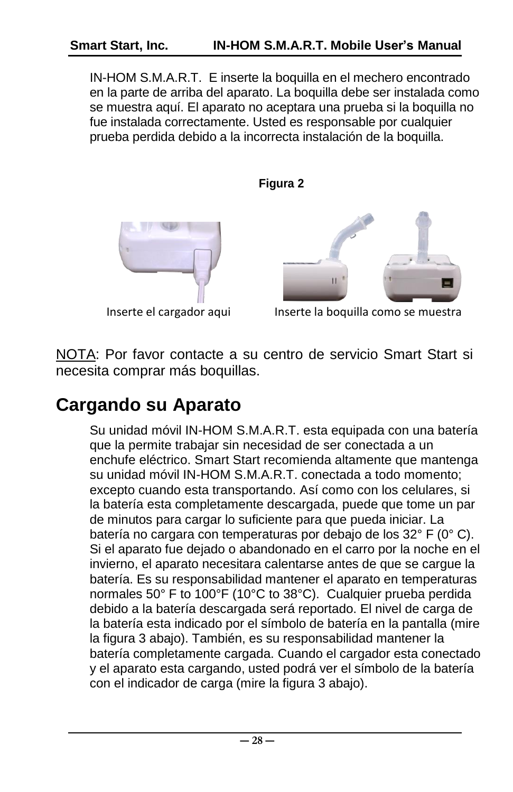IN-HOM S.M.A.R.T. E inserte la boquilla en el mechero encontrado en la parte de arriba del aparato. La boquilla debe ser instalada como se muestra aquí. El aparato no aceptara una prueba si la boquilla no fue instalada correctamente. Usted es responsable por cualquier prueba perdida debido a la incorrecta instalación de la boquilla.

**Figura 2**





Inserte el cargador aqui les los los los boquilla como se muestra

NOTA: Por favor contacte a su centro de servicio Smart Start si necesita comprar más boquillas.

# <span id="page-27-0"></span>**Cargando su Aparato**

Su unidad móvil IN-HOM S.M.A.R.T. esta equipada con una batería que la permite trabajar sin necesidad de ser conectada a un enchufe eléctrico. Smart Start recomienda altamente que mantenga su unidad móvil IN-HOM S.M.A.R.T. conectada a todo momento; excepto cuando esta transportando. Así como con los celulares, si la batería esta completamente descargada, puede que tome un par de minutos para cargar lo suficiente para que pueda iniciar. La batería no cargara con temperaturas por debajo de los 32° F (0° C). Si el aparato fue dejado o abandonado en el carro por la noche en el invierno, el aparato necesitara calentarse antes de que se cargue la batería. Es su responsabilidad mantener el aparato en temperaturas normales 50° F to 100°F (10°C to 38°C). Cualquier prueba perdida debido a la batería descargada será reportado. El nivel de carga de la batería esta indicado por el símbolo de batería en la pantalla (mire la figura 3 abajo). También, es su responsabilidad mantener la batería completamente cargada. Cuando el cargador esta conectado y el aparato esta cargando, usted podrá ver el símbolo de la batería con el indicador de carga (mire la figura 3 abajo).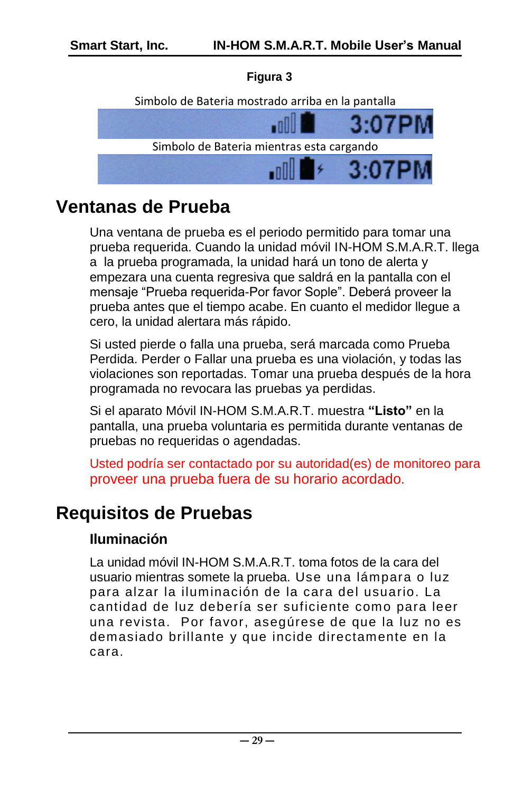#### **Figura 3**



#### <span id="page-28-0"></span>**Ventanas de Prueba**

Una ventana de prueba es el periodo permitido para tomar una prueba requerida. Cuando la unidad móvil IN-HOM S.M.A.R.T. llega a la prueba programada, la unidad hará un tono de alerta y empezara una cuenta regresiva que saldrá en la pantalla con el mensaje "Prueba requerida-Por favor Sople". Deberá proveer la prueba antes que el tiempo acabe. En cuanto el medidor llegue a cero, la unidad alertara más rápido.

Si usted pierde o falla una prueba, será marcada como Prueba Perdida. Perder o Fallar una prueba es una violación, y todas las violaciones son reportadas. Tomar una prueba después de la hora programada no revocara las pruebas ya perdidas.

Si el aparato Móvil IN-HOM S.M.A.R.T. muestra **"Listo"** en la pantalla, una prueba voluntaria es permitida durante ventanas de pruebas no requeridas o agendadas.

Usted podría ser contactado por su autoridad(es) de monitoreo para proveer una prueba fuera de su horario acordado.

### <span id="page-28-1"></span>**Requisitos de Pruebas**

#### **Iluminación**

La unidad móvil IN-HOM S.M.A.R.T. toma fotos de la cara del usuario mientras somete la prueba. Use una lámpara o luz para alzar la iluminación de la cara del usuario. La cantidad de luz debería ser suficiente como para leer una revista. Por favor, asegúrese de que la luz no es demasiado brillante y que incide directamente en la cara.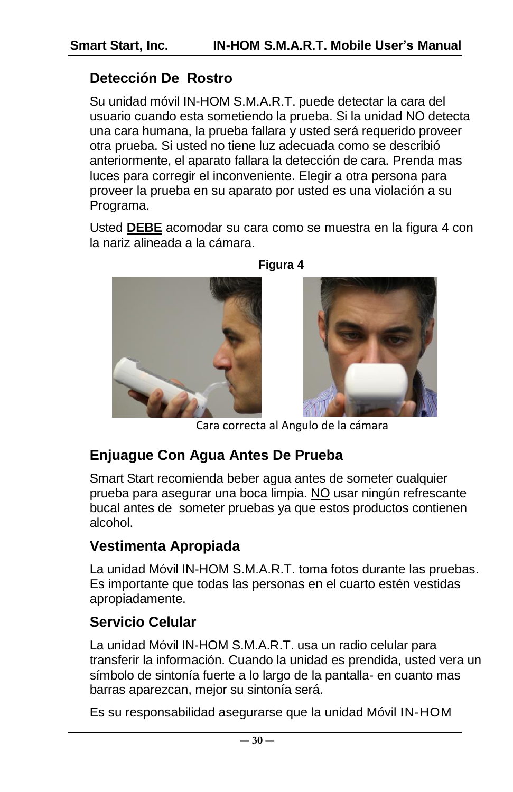#### **Detección De Rostro**

Su unidad móvil IN-HOM S.M.A.R.T. puede detectar la cara del usuario cuando esta sometiendo la prueba. Si la unidad NO detecta una cara humana, la prueba fallara y usted será requerido proveer otra prueba. Si usted no tiene luz adecuada como se describió anteriormente, el aparato fallara la detección de cara. Prenda mas luces para corregir el inconveniente. Elegir a otra persona para proveer la prueba en su aparato por usted es una violación a su Programa.

Usted **DEBE** acomodar su cara como se muestra en la figura 4 con la nariz alineada a la cámara.



**Figura 4**



Cara correcta al Angulo de la cámara

#### **Enjuague Con Agua Antes De Prueba**

Smart Start recomienda beber agua antes de someter cualquier prueba para asegurar una boca limpia. NO usar ningún refrescante bucal antes de someter pruebas ya que estos productos contienen alcohol.

#### **Vestimenta Apropiada**

La unidad Móvil IN-HOM S.M.A.R.T. toma fotos durante las pruebas. Es importante que todas las personas en el cuarto estén vestidas apropiadamente.

#### **Servicio Celular**

La unidad Móvil IN-HOM S.M.A.R.T. usa un radio celular para transferir la información. Cuando la unidad es prendida, usted vera un símbolo de sintonía fuerte a lo largo de la pantalla- en cuanto mas barras aparezcan, mejor su sintonía será.

Es su responsabilidad asegurarse que la unidad Móvil IN-HOM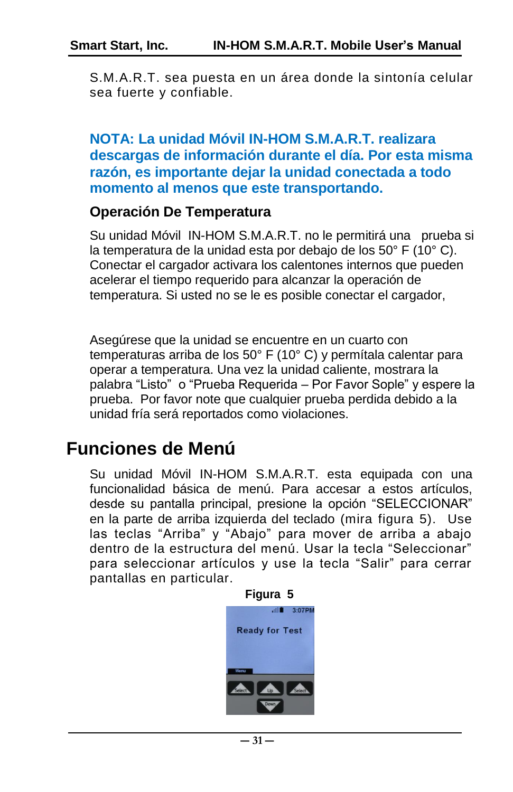S.M.A.R.T. sea puesta en un área donde la sintonía celular sea fuerte y confiable.

#### **NOTA: La unidad Móvil IN-HOM S.M.A.R.T. realizara descargas de información durante el día. Por esta misma razón, es importante dejar la unidad conectada a todo momento al menos que este transportando.**

#### **Operación De Temperatura**

Su unidad Móvil IN-HOM S.M.A.R.T. no le permitirá una prueba si la temperatura de la unidad esta por debajo de los 50° F (10° C). Conectar el cargador activara los calentones internos que pueden acelerar el tiempo requerido para alcanzar la operación de temperatura. Si usted no se le es posible conectar el cargador,

Asegúrese que la unidad se encuentre en un cuarto con temperaturas arriba de los 50° F (10° C) y permítala calentar para operar a temperatura. Una vez la unidad caliente, mostrara la palabra "Listo" o "Prueba Requerida – Por Favor Sople" y espere la prueba. Por favor note que cualquier prueba perdida debido a la unidad fría será reportados como violaciones.

### <span id="page-30-0"></span>**Funciones de Menú**

Su unidad Móvil IN-HOM S.M.A.R.T. esta equipada con una funcionalidad básica de menú. Para accesar a estos artículos, desde su pantalla principal, presione la opción "SELECCIONAR" en la parte de arriba izquierda del teclado (mira figura 5). Use las teclas "Arriba" y "Abajo" para mover de arriba a abajo dentro de la estructura del menú. Usar la tecla "Seleccionar" para seleccionar artículos y use la tecla "Salir" para cerrar pantallas en particular.

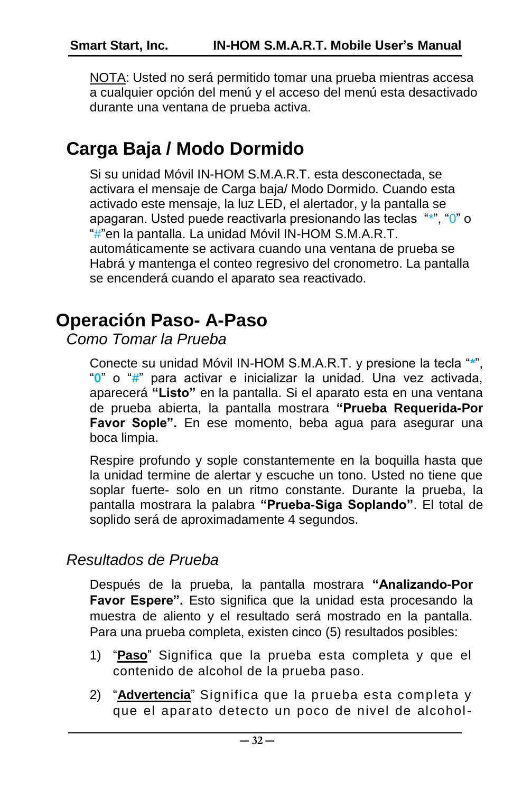NOTA: Usted no será permitido tomar una prueba mientras accesa a cualquier opción del menú y el acceso del menú esta desactivado durante una ventana de prueba activa.

# <span id="page-31-0"></span>**Carga Baja / Modo Dormido**

Si su unidad Móvil IN-HOM S.M.A.R.T. esta desconectada, se activara el mensaje de Carga baja/ Modo Dormido. Cuando esta activado este mensaje, la luz LED, el alertador, y la pantalla se apagaran. Usted puede reactivarla presionando las teclas "\*", "0" o "#"en la pantalla. La unidad Móvil IN-HOM S.M.A.R.T. automáticamente se activara cuando una ventana de prueba se Habrá y mantenga el conteo regresivo del cronometro. La pantalla se encenderá cuando el aparato sea reactivado.

### <span id="page-31-1"></span>**Operación Paso- A-Paso**

<span id="page-31-2"></span>*Como Tomar la Prueba*

Conecte su unidad Móvil IN-HOM S.M.A.R.T. y presione la tecla "**\***", "**0**" o "**#**" para activar e inicializar la unidad. Una vez activada, aparecerá **"Listo"** en la pantalla. Si el aparato esta en una ventana de prueba abierta, la pantalla mostrara **"Prueba Requerida-Por Favor Sople".** En ese momento, beba agua para asegurar una boca limpia.

Respire profundo y sople constantemente en la boquilla hasta que la unidad termine de alertar y escuche un tono. Usted no tiene que soplar fuerte- solo en un ritmo constante. Durante la prueba, la pantalla mostrara la palabra **"Prueba-Siga Soplando"**. El total de soplido será de aproximadamente 4 segundos.

#### <span id="page-31-3"></span>*Resultados de Prueba*

Después de la prueba, la pantalla mostrara **"Analizando-Por Favor Espere".** Esto significa que la unidad esta procesando la muestra de aliento y el resultado será mostrado en la pantalla. Para una prueba completa, existen cinco (5) resultados posibles:

- 1) "**Paso**" Significa que la prueba esta completa y que el contenido de alcohol de la prueba paso.
- 2) "**Advertencia**" Significa que la prueba esta completa y que el aparato detecto un poco de nivel de alcohol-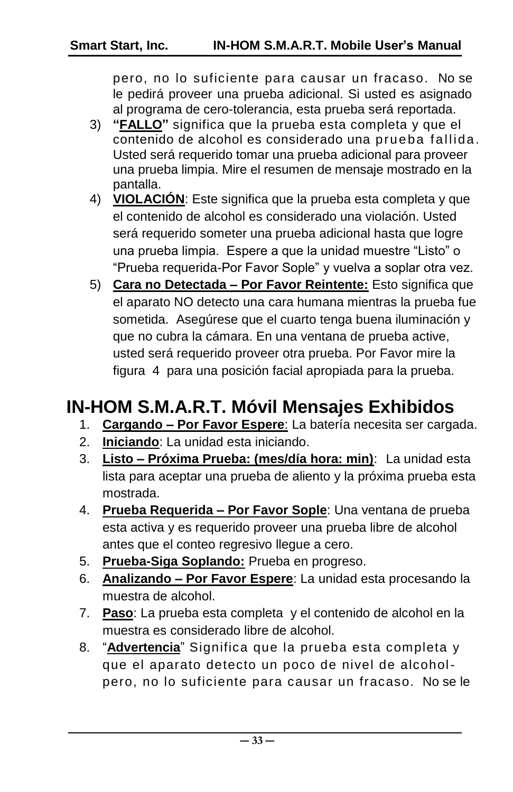pero, no lo suficiente para causar un fracaso. No se le pedirá proveer una prueba adicional. Si usted es asignado al programa de cero-tolerancia, esta prueba será reportada.

- 3) **"FALLO"** significa que la prueba esta completa y que el contenido de alcohol es considerado una prueba fallida. Usted será requerido tomar una prueba adicional para proveer una prueba limpia. Mire el resumen de mensaje mostrado en la pantalla.
- 4) **VIOLACIÓN**: Este significa que la prueba esta completa y que el contenido de alcohol es considerado una violación. Usted será requerido someter una prueba adicional hasta que logre una prueba limpia. Espere a que la unidad muestre "Listo" o "Prueba requerida-Por Favor Sople" y vuelva a soplar otra vez.
- 5) **Cara no Detectada – Por Favor Reintente:** Esto significa que el aparato NO detecto una cara humana mientras la prueba fue sometida. Asegúrese que el cuarto tenga buena iluminación y que no cubra la cámara. En una ventana de prueba active, usted será requerido proveer otra prueba. Por Favor mire la figura 4 para una posición facial apropiada para la prueba.

# <span id="page-32-0"></span>**IN-HOM S.M.A.R.T. Móvil Mensajes Exhibidos**

- 1. **Cargando – Por Favor Espere**: La batería necesita ser cargada.
- 2. **Iniciando**: La unidad esta iniciando.
- 3. **Listo – Próxima Prueba: (mes/día hora: min)**: La unidad esta lista para aceptar una prueba de aliento y la próxima prueba esta mostrada.
- 4. **Prueba Requerida – Por Favor Sople**: Una ventana de prueba esta activa y es requerido proveer una prueba libre de alcohol antes que el conteo regresivo llegue a cero.
- 5. **Prueba-Siga Soplando:** Prueba en progreso.
- 6. **Analizando – Por Favor Espere**: La unidad esta procesando la muestra de alcohol.
- 7. **Paso**: La prueba esta completa y el contenido de alcohol en la muestra es considerado libre de alcohol.
- 8. "**Advertencia**" Significa que la prueba esta completa y que el aparato detecto un poco de nivel de alcoholpero, no lo suficiente para causar un fracaso. No se le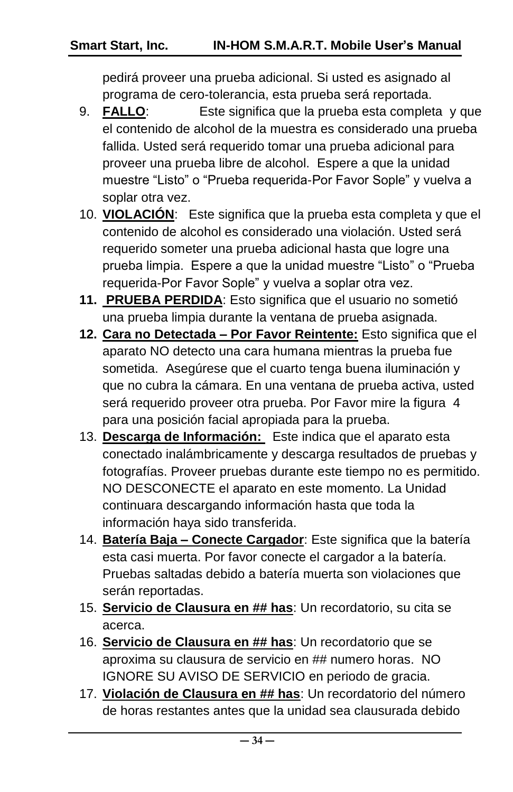pedirá proveer una prueba adicional. Si usted es asignado al programa de cero-tolerancia, esta prueba será reportada.

- 9. **FALLO**: Este significa que la prueba esta completa y que el contenido de alcohol de la muestra es considerado una prueba fallida. Usted será requerido tomar una prueba adicional para proveer una prueba libre de alcohol. Espere a que la unidad muestre "Listo" o "Prueba requerida-Por Favor Sople" y vuelva a soplar otra vez.
- 10. **VIOLACIÓN**: Este significa que la prueba esta completa y que el contenido de alcohol es considerado una violación. Usted será requerido someter una prueba adicional hasta que logre una prueba limpia. Espere a que la unidad muestre "Listo" o "Prueba requerida-Por Favor Sople" y vuelva a soplar otra vez.
- **11. PRUEBA PERDIDA**: Esto significa que el usuario no sometió una prueba limpia durante la ventana de prueba asignada.
- **12. Cara no Detectada – Por Favor Reintente:** Esto significa que el aparato NO detecto una cara humana mientras la prueba fue sometida. Asegúrese que el cuarto tenga buena iluminación y que no cubra la cámara. En una ventana de prueba activa, usted será requerido proveer otra prueba. Por Favor mire la figura 4 para una posición facial apropiada para la prueba.
- 13. **Descarga de Información:** Este indica que el aparato esta conectado inalámbricamente y descarga resultados de pruebas y fotografías. Proveer pruebas durante este tiempo no es permitido. NO DESCONECTE el aparato en este momento. La Unidad continuara descargando información hasta que toda la información haya sido transferida.
- 14. **Batería Baja – Conecte Cargador**: Este significa que la batería esta casi muerta. Por favor conecte el cargador a la batería. Pruebas saltadas debido a batería muerta son violaciones que serán reportadas.
- 15. **Servicio de Clausura en ## has**: Un recordatorio, su cita se acerca.
- 16. **Servicio de Clausura en ## has**: Un recordatorio que se aproxima su clausura de servicio en ## numero horas. NO IGNORE SU AVISO DE SERVICIO en periodo de gracia.
- 17. **Violación de Clausura en ## has**: Un recordatorio del número de horas restantes antes que la unidad sea clausurada debido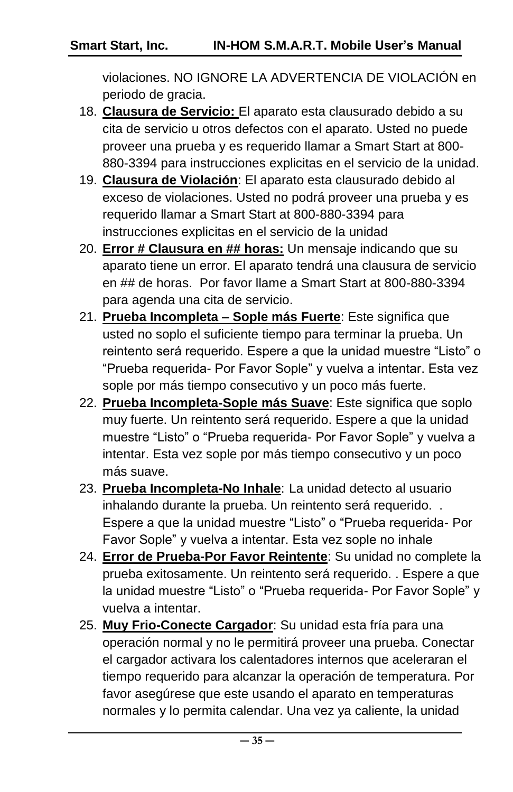violaciones. NO IGNORE LA ADVERTENCIA DE VIOLACIÓN en periodo de gracia.

- 18. **Clausura de Servicio:** El aparato esta clausurado debido a su cita de servicio u otros defectos con el aparato. Usted no puede proveer una prueba y es requerido llamar a Smart Start at 800- 880-3394 para instrucciones explicitas en el servicio de la unidad.
- 19. **Clausura de Violación**: El aparato esta clausurado debido al exceso de violaciones. Usted no podrá proveer una prueba y es requerido llamar a Smart Start at 800-880-3394 para instrucciones explicitas en el servicio de la unidad
- 20. **Error # Clausura en ## horas:** Un mensaje indicando que su aparato tiene un error. El aparato tendrá una clausura de servicio en ## de horas. Por favor llame a Smart Start at 800-880-3394 para agenda una cita de servicio.
- 21. **Prueba Incompleta – Sople más Fuerte**: Este significa que usted no soplo el suficiente tiempo para terminar la prueba. Un reintento será requerido. Espere a que la unidad muestre "Listo" o "Prueba requerida- Por Favor Sople" y vuelva a intentar. Esta vez sople por más tiempo consecutivo y un poco más fuerte.
- 22. **Prueba Incompleta-Sople más Suave**: Este significa que soplo muy fuerte. Un reintento será requerido. Espere a que la unidad muestre "Listo" o "Prueba requerida- Por Favor Sople" y vuelva a intentar. Esta vez sople por más tiempo consecutivo y un poco más suave.
- 23. **Prueba Incompleta-No Inhale**: La unidad detecto al usuario inhalando durante la prueba. Un reintento será requerido. . Espere a que la unidad muestre "Listo" o "Prueba requerida- Por Favor Sople" y vuelva a intentar. Esta vez sople no inhale
- 24. **Error de Prueba-Por Favor Reintente**: Su unidad no complete la prueba exitosamente. Un reintento será requerido. . Espere a que la unidad muestre "Listo" o "Prueba requerida- Por Favor Sople" y vuelva a intentar.
- 25. **Muy Frio-Conecte Cargador**: Su unidad esta fría para una operación normal y no le permitirá proveer una prueba. Conectar el cargador activara los calentadores internos que aceleraran el tiempo requerido para alcanzar la operación de temperatura. Por favor asegúrese que este usando el aparato en temperaturas normales y lo permita calendar. Una vez ya caliente, la unidad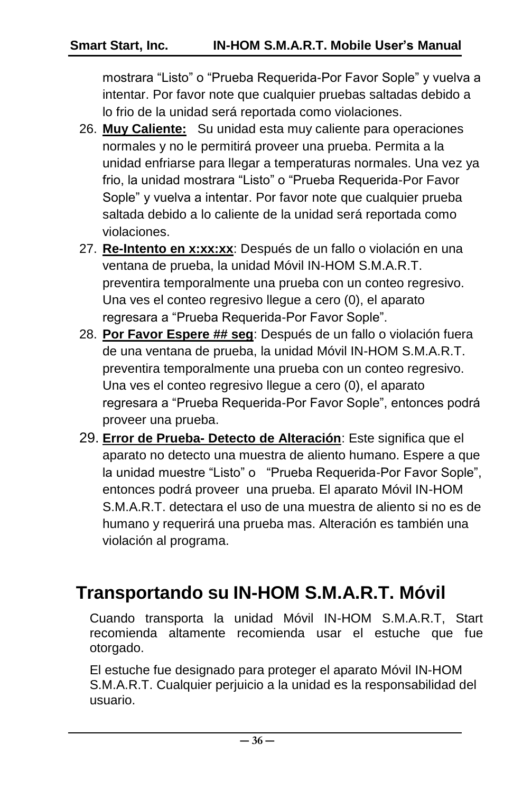mostrara "Listo" o "Prueba Requerida-Por Favor Sople" y vuelva a intentar. Por favor note que cualquier pruebas saltadas debido a lo frio de la unidad será reportada como violaciones.

- 26. **Muy Caliente:** Su unidad esta muy caliente para operaciones normales y no le permitirá proveer una prueba. Permita a la unidad enfriarse para llegar a temperaturas normales. Una vez ya frio, la unidad mostrara "Listo" o "Prueba Requerida-Por Favor Sople" y vuelva a intentar. Por favor note que cualquier prueba saltada debido a lo caliente de la unidad será reportada como violaciones.
- 27. **Re-Intento en x:xx:xx**: Después de un fallo o violación en una ventana de prueba, la unidad Móvil IN-HOM S.M.A.R.T. preventira temporalmente una prueba con un conteo regresivo. Una ves el conteo regresivo llegue a cero (0), el aparato regresara a "Prueba Requerida-Por Favor Sople".
- 28. **Por Favor Espere ## seg**: Después de un fallo o violación fuera de una ventana de prueba, la unidad Móvil IN-HOM S.M.A.R.T. preventira temporalmente una prueba con un conteo regresivo. Una ves el conteo regresivo llegue a cero (0), el aparato regresara a "Prueba Requerida-Por Favor Sople", entonces podrá proveer una prueba.
- 29. **Error de Prueba- Detecto de Alteración**: Este significa que el aparato no detecto una muestra de aliento humano. Espere a que la unidad muestre "Listo" o "Prueba Requerida-Por Favor Sople", entonces podrá proveer una prueba. El aparato Móvil IN-HOM S.M.A.R.T. detectara el uso de una muestra de aliento si no es de humano y requerirá una prueba mas. Alteración es también una violación al programa.

# <span id="page-35-0"></span> **Transportando su IN-HOM S.M.A.R.T. Móvil**

Cuando transporta la unidad Móvil IN-HOM S.M.A.R.T, Start recomienda altamente recomienda usar el estuche que fue otorgado.

El estuche fue designado para proteger el aparato Móvil IN-HOM S.M.A.R.T. Cualquier perjuicio a la unidad es la responsabilidad del usuario.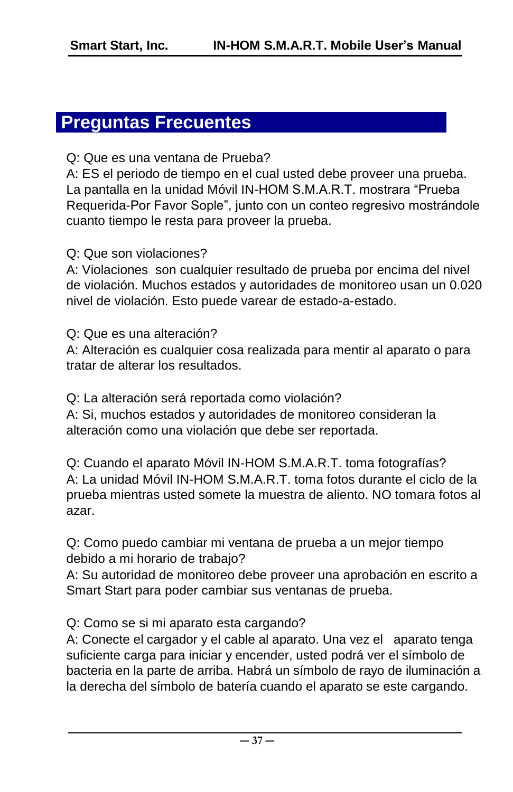### <span id="page-36-0"></span>**Preguntas Frecuentes**

#### Q: Que es una ventana de Prueba?

A: ES el periodo de tiempo en el cual usted debe proveer una prueba. La pantalla en la unidad Móvil IN-HOM S.M.A.R.T. mostrara "Prueba Requerida-Por Favor Sople", junto con un conteo regresivo mostrándole cuanto tiempo le resta para proveer la prueba.

#### Q: Que son violaciones?

A: Violaciones son cualquier resultado de prueba por encima del nivel de violación. Muchos estados y autoridades de monitoreo usan un 0.020 nivel de violación. Esto puede varear de estado-a-estado.

Q: Que es una alteración?

A: Alteración es cualquier cosa realizada para mentir al aparato o para tratar de alterar los resultados.

Q: La alteración será reportada como violación?

A: Si, muchos estados y autoridades de monitoreo consideran la alteración como una violación que debe ser reportada.

Q: Cuando el aparato Móvil IN-HOM S.M.A.R.T. toma fotografías? A: La unidad Móvil IN-HOM S.M.A.R.T. toma fotos durante el ciclo de la prueba mientras usted somete la muestra de aliento. NO tomara fotos al azar.

Q: Como puedo cambiar mi ventana de prueba a un mejor tiempo debido a mi horario de trabajo?

A: Su autoridad de monitoreo debe proveer una aprobación en escrito a Smart Start para poder cambiar sus ventanas de prueba.

Q: Como se si mi aparato esta cargando?

A: Conecte el cargador y el cable al aparato. Una vez el aparato tenga suficiente carga para iniciar y encender, usted podrá ver el símbolo de bacteria en la parte de arriba. Habrá un símbolo de rayo de iluminación a la derecha del símbolo de batería cuando el aparato se este cargando.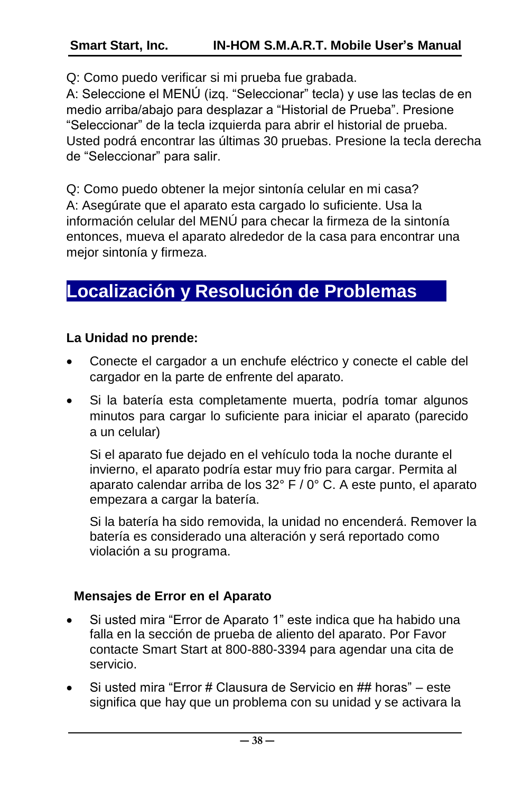Q: Como puedo verificar si mi prueba fue grabada.

A: Seleccione el MENÚ (izq. "Seleccionar" tecla) y use las teclas de en medio arriba/abajo para desplazar a "Historial de Prueba". Presione "Seleccionar" de la tecla izquierda para abrir el historial de prueba. Usted podrá encontrar las últimas 30 pruebas. Presione la tecla derecha de "Seleccionar" para salir.

Q: Como puedo obtener la mejor sintonía celular en mi casa? A: Asegúrate que el aparato esta cargado lo suficiente. Usa la información celular del MENÚ para checar la firmeza de la sintonía entonces, mueva el aparato alrededor de la casa para encontrar una mejor sintonía y firmeza.

# <span id="page-37-0"></span>**Localización y Resolución de Problemas**

#### **La Unidad no prende:**

- Conecte el cargador a un enchufe eléctrico y conecte el cable del cargador en la parte de enfrente del aparato.
- Si la batería esta completamente muerta, podría tomar algunos minutos para cargar lo suficiente para iniciar el aparato (parecido a un celular)

Si el aparato fue dejado en el vehículo toda la noche durante el invierno, el aparato podría estar muy frio para cargar. Permita al aparato calendar arriba de los 32° F / 0° C. A este punto, el aparato empezara a cargar la batería.

Si la batería ha sido removida, la unidad no encenderá. Remover la batería es considerado una alteración y será reportado como violación a su programa.

#### **Mensajes de Error en el Aparato**

- Si usted mira "Error de Aparato 1" este indica que ha habido una falla en la sección de prueba de aliento del aparato. Por Favor contacte Smart Start at 800-880-3394 para agendar una cita de servicio.
- Si usted mira "Error # Clausura de Servicio en ## horas" este significa que hay que un problema con su unidad y se activara la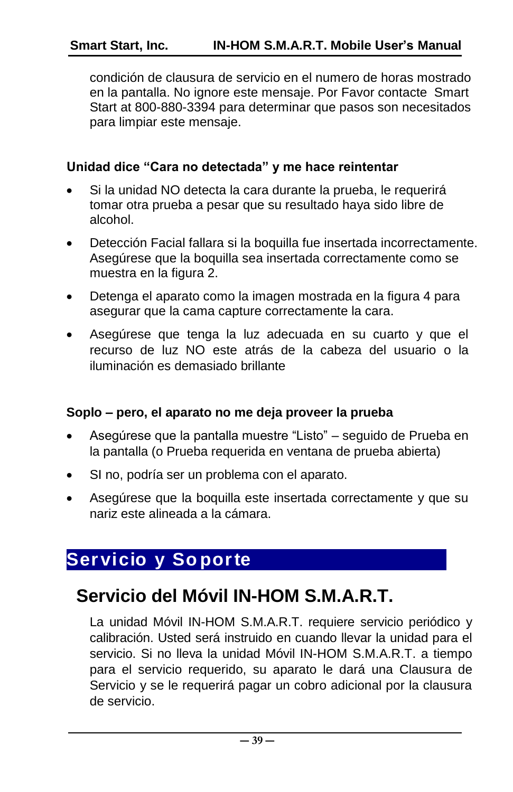#### **Smart Start, Inc. IN-HOM S.M.A.R.T. Mobile User's Manual**

condición de clausura de servicio en el numero de horas mostrado en la pantalla. No ignore este mensaje. Por Favor contacte Smart Start at 800-880-3394 para determinar que pasos son necesitados para limpiar este mensaje.

#### **Unidad dice "Cara no detectada" y me hace reintentar**

- Si la unidad NO detecta la cara durante la prueba, le requerirá tomar otra prueba a pesar que su resultado haya sido libre de alcohol.
- Detección Facial fallara si la boquilla fue insertada incorrectamente. Asegúrese que la boquilla sea insertada correctamente como se muestra en la figura 2.
- Detenga el aparato como la imagen mostrada en la figura 4 para asegurar que la cama capture correctamente la cara.
- Asegúrese que tenga la luz adecuada en su cuarto y que el recurso de luz NO este atrás de la cabeza del usuario o la iluminación es demasiado brillante

#### **Soplo – pero, el aparato no me deja proveer la prueba**

- Asegúrese que la pantalla muestre "Listo" seguido de Prueba en la pantalla (o Prueba requerida en ventana de prueba abierta)
- SI no, podría ser un problema con el aparato.
- Asegúrese que la boquilla este insertada correctamente y que su nariz este alineada a la cámara.

### <span id="page-38-0"></span>**Servicio y So porte**

# <span id="page-38-1"></span> **Servicio del Móvil IN-HOM S.M.A.R.T.**

La unidad Móvil IN-HOM S.M.A.R.T. requiere servicio periódico y calibración. Usted será instruido en cuando llevar la unidad para el servicio. Si no lleva la unidad Móvil IN-HOM S.M.A.R.T. a tiempo para el servicio requerido, su aparato le dará una Clausura de Servicio y se le requerirá pagar un cobro adicional por la clausura de servicio.